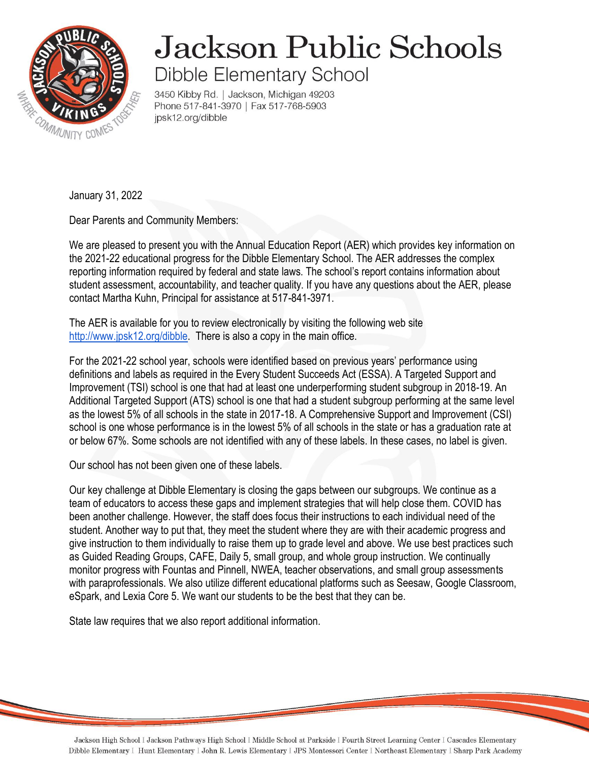

## **Jackson Public Schools** Dibble Elementary School

3450 Kibby Rd. | Jackson, Michigan 49203 Phone 517-841-3970 | Fax 517-768-5903 jpsk12.org/dibble

January 31, 2022

Dear Parents and Community Members:

We are pleased to present you with the Annual Education Report (AER) which provides key information on the 2021-22 educational progress for the Dibble Elementary School. The AER addresses the complex reporting information required by federal and state laws. The school's report contains information about student assessment, accountability, and teacher quality. If you have any questions about the AER, please contact Martha Kuhn, Principal for assistance at 517-841-3971.

The AER is available for you to review electronically by visiting the following web site [http://www.jpsk12.org/dibble.](http://www.jpsk12.org/dibble) There is also a copy in the main office.

For the 2021-22 school year, schools were identified based on previous years' performance using definitions and labels as required in the Every Student Succeeds Act (ESSA). A Targeted Support and Improvement (TSI) school is one that had at least one underperforming student subgroup in 2018-19. An Additional Targeted Support (ATS) school is one that had a student subgroup performing at the same level as the lowest 5% of all schools in the state in 2017-18. A Comprehensive Support and Improvement (CSI) school is one whose performance is in the lowest 5% of all schools in the state or has a graduation rate at or below 67%. Some schools are not identified with any of these labels. In these cases, no label is given.

Our school has not been given one of these labels.

Our key challenge at Dibble Elementary is closing the gaps between our subgroups. We continue as a team of educators to access these gaps and implement strategies that will help close them. COVID has been another challenge. However, the staff does focus their instructions to each individual need of the student. Another way to put that, they meet the student where they are with their academic progress and give instruction to them individually to raise them up to grade level and above. We use best practices such as Guided Reading Groups, CAFE, Daily 5, small group, and whole group instruction. We continually monitor progress with Fountas and Pinnell, NWEA, teacher observations, and small group assessments with paraprofessionals. We also utilize different educational platforms such as Seesaw, Google Classroom, eSpark, and Lexia Core 5. We want our students to be the best that they can be.

State law requires that we also report additional information.

Jackson High School I Jackson Pathways High School I Middle School at Parkside I Fourth Street Learning Center I Cascades Elementary Dibble Elementary I Hunt Elementary I John R. Lewis Elementary I JPS Montessori Center I Northeast Elementary I Sharp Park Academy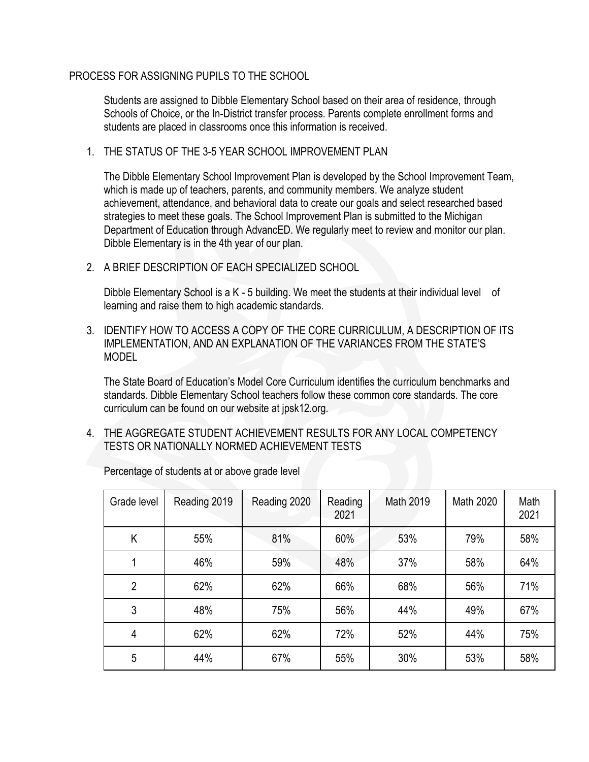## PROCESS FOR ASSIGNING PUPILS TO THE SCHOOL

Students are assigned to Dibble Elementary School based on their area of residence, through Schools of Choice, or the In-District transfer process. Parents complete enrollment forms and students are placed in classrooms once this information is received.

1. THE STATUS OF THE 3-5 YEAR SCHOOL IMPROVEMENT PLAN

The Dibble Elementary School Improvement Plan is developed by the School Improvement Team, which is made up of teachers, parents, and community members. We analyze student achievement, attendance, and behavioral data to create our goals and select researched based strategies to meet these goals. The School Improvement Plan is submitted to the Michigan Department of Education through AdvancED. We regularly meet to review and monitor our plan. Dibble Elementary is in the 4th year of our plan.

2. A BRIEF DESCRIPTION OF EACH SPECIALIZED SCHOOL

Dibble Elementary School is a K - 5 building. We meet the students at their individual level of learning and raise them to high academic standards.

3. IDENTIFY HOW TO ACCESS A COPY OF THE CORE CURRICULUM, A DESCRIPTION OF ITS IMPLEMENTATION, AND AN EXPLANATION OF THE VARIANCES FROM THE STATE'S MODEL

The State Board of Education's Model Core Curriculum identifies the curriculum benchmarks and standards. Dibble Elementary School teachers follow these common core standards. The core curriculum can be found on our website at jpsk12.org.

4. THE AGGREGATE STUDENT ACHIEVEMENT RESULTS FOR ANY LOCAL COMPETENCY TESTS OR NATIONALLY NORMED ACHIEVEMENT TESTS

| Grade level    | Reading 2019 | Reading 2020 | Reading<br>2021 | Math 2019 | Math 2020 | Math<br>2021 |
|----------------|--------------|--------------|-----------------|-----------|-----------|--------------|
| K              | 55%          | 81%          | 60%             | 53%       | 79%       | 58%          |
|                | 46%          | 59%          | 48%             | 37%       | 58%       | 64%          |
| $\overline{2}$ | 62%          | 62%          | 66%             | 68%       | 56%       | 71%          |
| 3              | 48%          | 75%          | 56%             | 44%       | 49%       | 67%          |
| 4              | 62%          | 62%          | 72%             | 52%       | 44%       | 75%          |
| 5              | 44%          | 67%          | 55%             | 30%       | 53%       | 58%          |

Percentage of students at or above grade level